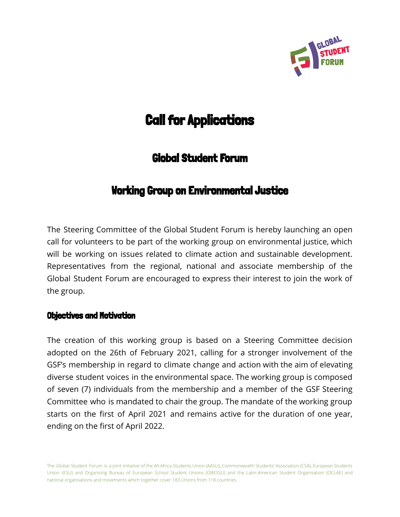

# **Call for Applications**

# Global Student Forum

# Working Group on Environmental Justice

The Steering Committee of the Global Student Forum is hereby launching an open call for volunteers to be part of the working group on environmental justice, which will be working on issues related to climate action and sustainable development. Representatives from the regional, national and associate membership of the Global Student Forum are encouraged to express their interest to join the work of the group.

# Objectives and Motivation

The creation of this working group is based on a Steering Committee decision adopted on the 26th of February 2021, calling for a stronger involvement of the GSF's membership in regard to climate change and action with the aim of elevating diverse student voices in the environmental space. The working group is composed of seven (7) individuals from the membership and a member of the GSF Steering Committee who is mandated to chair the group. The mandate of the working group starts on the first of April 2021 and remains active for the duration of one year, ending on the first of April 2022.

The Global Student Forum is a joint initiative of the All-Africa Students Union (AASU), Commonwealth Students' Association (CSA), European Students Union (ESU) and Organising Bureau of European School Student Unions (OBESSU) and the Latin-American Student Organisation (OCLAE) and national organisations and movements which together cover 183 Unions from 118 countries.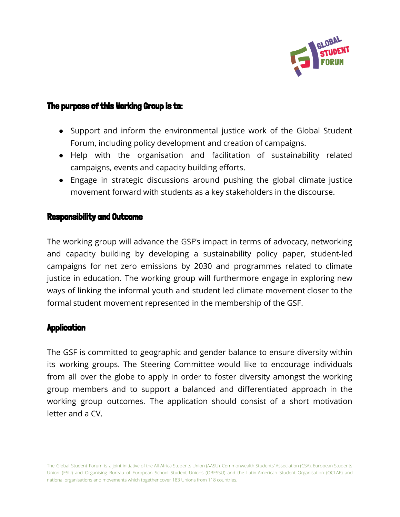

# The purpose of this Working Group is to:

- Support and inform the environmental justice work of the Global Student Forum, including policy development and creation of campaigns.
- Help with the organisation and facilitation of sustainability related campaigns, events and capacity building efforts.
- Engage in strategic discussions around pushing the global climate justice movement forward with students as a key stakeholders in the discourse.

#### Responsibility and Outcome

The working group will advance the GSF's impact in terms of advocacy, networking and capacity building by developing a sustainability policy paper, student-led campaigns for net zero emissions by 2030 and programmes related to climate justice in education. The working group will furthermore engage in exploring new ways of linking the informal youth and student led climate movement closer to the formal student movement represented in the membership of the GSF.

#### **Application**

The GSF is committed to geographic and gender balance to ensure diversity within its working groups. The Steering Committee would like to encourage individuals from all over the globe to apply in order to foster diversity amongst the working group members and to support a balanced and differentiated approach in the working group outcomes. The application should consist of a short motivation letter and a CV.

The Global Student Forum is a joint initiative of the All-Africa Students Union (AASU), Commonwealth Students' Association (CSA), European Students Union (ESU) and Organising Bureau of European School Student Unions (OBESSU) and the Latin-American Student Organisation (OCLAE) and national organisations and movements which together cover 183 Unions from 118 countries.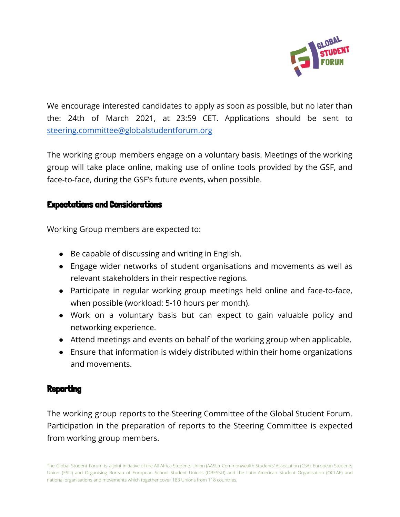

We encourage interested candidates to apply as soon as possible, but no later than the: 24th of March 2021, at 23:59 CET. Applications should be sent to [steering.committee@globalstudentforum.org](mailto:steering.committee@globalstudentforum.org)

The working group members engage on a voluntary basis. Meetings of the working group will take place online, making use of online tools provided by the GSF, and face-to-face, during the GSF's future events, when possible.

# Expectations and Considerations

Working Group members are expected to:

- Be capable of discussing and writing in English.
- Engage wider networks of student organisations and movements as well as relevant stakeholders in their respective regions.
- Participate in regular working group meetings held online and face-to-face, when possible (workload: 5-10 hours per month).
- Work on a voluntary basis but can expect to gain valuable policy and networking experience.
- Attend meetings and events on behalf of the working group when applicable.
- Ensure that information is widely distributed within their home organizations and movements.

# **Reporting**

The working group reports to the Steering Committee of the Global Student Forum. Participation in the preparation of reports to the Steering Committee is expected from working group members.